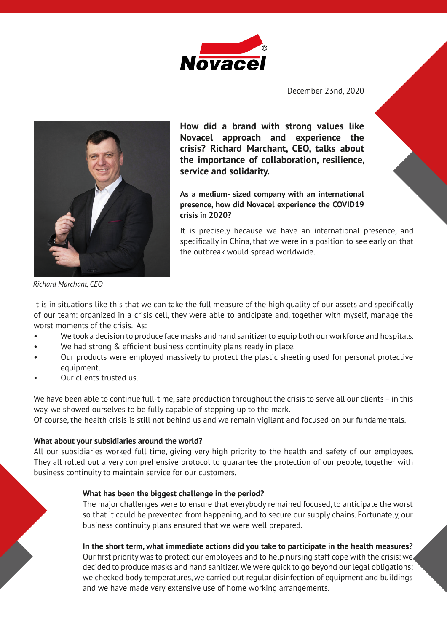

December 23nd, 2020



**How did a brand with strong values like Novacel approach and experience the crisis? Richard Marchant, CEO, talks about the importance of collaboration, resilience, service and solidarity.**

**As a medium- sized company with an international presence, how did Novacel experience the COVID19 crisis in 2020?**

It is precisely because we have an international presence, and specifically in China, that we were in a position to see early on that the outbreak would spread worldwide.

*Richard Marchant, CEO*

It is in situations like this that we can take the full measure of the high quality of our assets and specifically of our team: organized in a crisis cell, they were able to anticipate and, together with myself, manage the worst moments of the crisis. As:

- We took a decision to produce face masks and hand sanitizer to equip both our workforce and hospitals.
- We had strong & efficient business continuity plans ready in place.
- Our products were employed massively to protect the plastic sheeting used for personal protective equipment.
- Our clients trusted us.

We have been able to continue full-time, safe production throughout the crisis to serve all our clients – in this way, we showed ourselves to be fully capable of stepping up to the mark. Of course, the health crisis is still not behind us and we remain vigilant and focused on our fundamentals.

# **What about your subsidiaries around the world?**

All our subsidiaries worked full time, giving very high priority to the health and safety of our employees. They all rolled out a very comprehensive protocol to guarantee the protection of our people, together with business continuity to maintain service for our customers.

# **What has been the biggest challenge in the period?**

The major challenges were to ensure that everybody remained focused, to anticipate the worst so that it could be prevented from happening, and to secure our supply chains. Fortunately, our business continuity plans ensured that we were well prepared.

**In the short term, what immediate actions did you take to participate in the health measures?** 

Our first priority was to protect our employees and to help nursing staff cope with the crisis: we decided to produce masks and hand sanitizer. We were quick to go beyond our legal obligations: we checked body temperatures, we carried out regular disinfection of equipment and buildings and we have made very extensive use of home working arrangements.